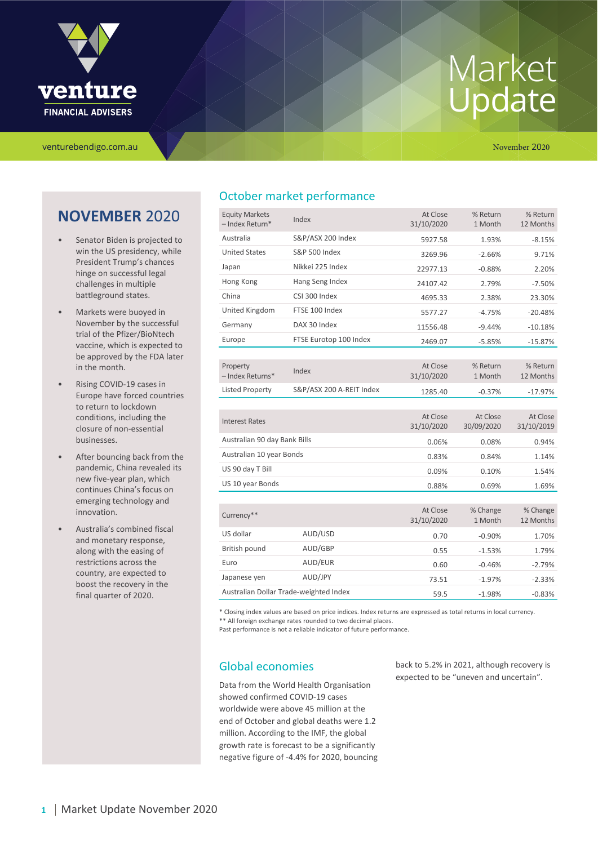

venturebendigo.com.au November 2020

### **NOVEMBER** 2020

- Senator Biden is projected to win the US presidency, while President Trump's chances hinge on successful legal challenges in multiple battleground states.
- Markets were buoyed in November by the successful trial of the Pfizer/BioNtech vaccine, which is expected to be approved by the FDA later in the month.
- Rising COVID-19 cases in Europe have forced countries to return to lockdown conditions, including the closure of non-essential businesses.
- After bouncing back from the pandemic, China revealed its new five-year plan, which continues China's focus on emerging technology and innovation.
- Australia's combined fiscal and monetary response, along with the easing of restrictions across the country, are expected to boost the recovery in the final quarter of 2020.

### October market performance

| <b>Equity Markets</b><br>- Index Return* | Index                    | At Close<br>31/10/2020 | % Return<br>1 Month    | % Return<br>12 Months  |
|------------------------------------------|--------------------------|------------------------|------------------------|------------------------|
| Australia                                | S&P/ASX 200 Index        | 5927.58                | 1.93%                  | $-8.15%$               |
| <b>United States</b>                     | <b>S&amp;P 500 Index</b> | 3269.96                | $-2.66%$               | 9.71%                  |
| Japan                                    | Nikkei 225 Index         | 22977.13               | $-0.88%$               | 2.20%                  |
| Hong Kong                                | Hang Seng Index          | 24107.42               | 2.79%                  | $-7.50%$               |
| China                                    | CSI 300 Index            | 4695.33                | 2.38%                  | 23.30%                 |
| United Kingdom                           | FTSE 100 Index           | 5577.27                | $-4.75%$               | $-20.48%$              |
| Germany                                  | DAX 30 Index             | 11556.48               | $-9.44%$               | $-10.18%$              |
| Europe                                   | FTSE Eurotop 100 Index   | 2469.07                | $-5.85%$               | $-15.87%$              |
|                                          |                          |                        |                        |                        |
| Property                                 | Index                    | At Close               | % Return               | % Return               |
| - Index Returns*                         |                          | 31/10/2020             | 1 Month                | 12 Months              |
| <b>Listed Property</b>                   | S&P/ASX 200 A-REIT Index | 1285.40                | $-0.37%$               | $-17.97%$              |
|                                          |                          |                        |                        |                        |
| <b>Interest Rates</b>                    |                          | At Close<br>31/10/2020 | At Close<br>30/09/2020 | At Close<br>31/10/2019 |
| Australian 90 day Bank Bills             |                          |                        | 0.08%                  | 0.94%                  |
|                                          |                          | 0.06%                  |                        |                        |
| Australian 10 year Bonds                 |                          | 0.83%                  | 0.84%                  | 1.14%                  |
| US 90 day T Bill                         |                          | 0.09%                  | 0.10%                  | 1.54%                  |
| US 10 year Bonds                         |                          | 0.88%                  | 0.69%                  | 1.69%                  |
|                                          |                          |                        |                        |                        |
| Currency**                               |                          | At Close<br>31/10/2020 | % Change<br>1 Month    | % Change<br>12 Months  |
| US dollar                                | AUD/USD                  | 0.70                   | $-0.90%$               | 1.70%                  |
| British pound                            | AUD/GBP                  | 0.55                   | $-1.53%$               | 1.79%                  |
| Euro                                     | AUD/EUR                  | 0.60                   | $-0.46%$               | $-2.79%$               |
| Japanese yen                             | AUD/JPY                  | 73.51                  | $-1.97%$               | $-2.33%$               |
| Australian Dollar Trade-weighted Index   |                          | 59.5                   | $-1.98%$               | $-0.83%$               |

\* Closing index values are based on price indices. Index returns are expressed as total returns in local currency. \*\* All foreign exchange rates rounded to two decimal places.

Past performance is not a reliable indicator of future performance.

### Global economies

Data from the World Health Organisation showed confirmed COVID-19 cases worldwide were above 45 million at the end of October and global deaths were 1.2 million. According to the IMF, the global growth rate is forecast to be a significantly negative figure of -4.4% for 2020, bouncing back to 5.2% in 2021, although recovery is expected to be "uneven and uncertain".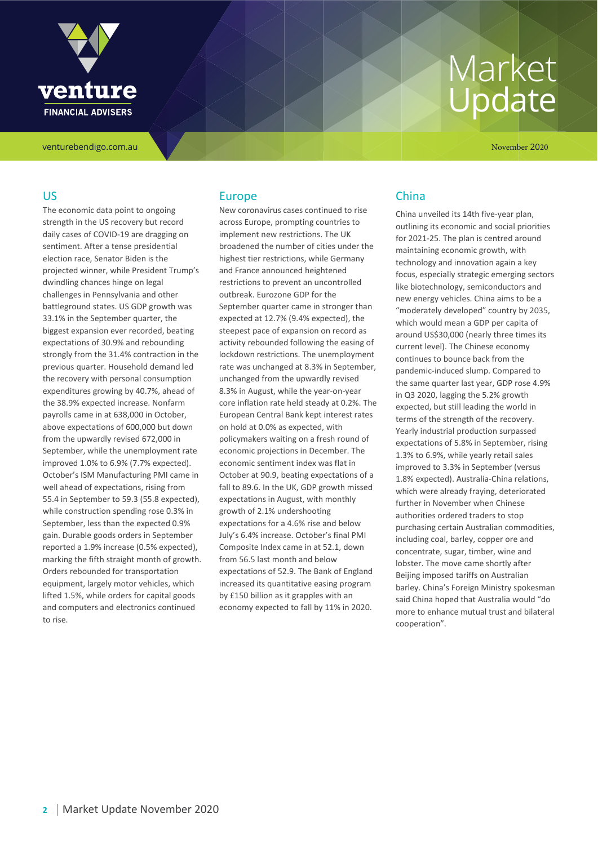

venturebendigo.com.au November 2020

#### US

The economic data point to ongoing strength in the US recovery but record daily cases of COVID-19 are dragging on sentiment. After a tense presidential election race, Senator Biden is the projected winner, while President Trump's dwindling chances hinge on legal challenges in Pennsylvania and other battleground states. US GDP growth was 33.1% in the September quarter, the biggest expansion ever recorded, beating expectations of 30.9% and rebounding strongly from the 31.4% contraction in the previous quarter. Household demand led the recovery with personal consumption expenditures growing by 40.7%, ahead of the 38.9% expected increase. Nonfarm payrolls came in at 638,000 in October, above expectations of 600,000 but down from the upwardly revised 672,000 in September, while the unemployment rate improved 1.0% to 6.9% (7.7% expected). October's ISM Manufacturing PMI came in well ahead of expectations, rising from 55.4 in September to 59.3 (55.8 expected), while construction spending rose 0.3% in September, less than the expected 0.9% gain. Durable goods orders in September reported a 1.9% increase (0.5% expected), marking the fifth straight month of growth. Orders rebounded for transportation equipment, largely motor vehicles, which lifted 1.5%, while orders for capital goods and computers and electronics continued to rise.

#### Europe

New coronavirus cases continued to rise across Europe, prompting countries to implement new restrictions. The UK broadened the number of cities under the highest tier restrictions, while Germany and France announced heightened restrictions to prevent an uncontrolled outbreak. Eurozone GDP for the September quarter came in stronger than expected at 12.7% (9.4% expected), the steepest pace of expansion on record as activity rebounded following the easing of lockdown restrictions. The unemployment rate was unchanged at 8.3% in September, unchanged from the upwardly revised 8.3% in August, while the year-on-year core inflation rate held steady at 0.2%. The European Central Bank kept interest rates on hold at 0.0% as expected, with policymakers waiting on a fresh round of economic projections in December. The economic sentiment index was flat in October at 90.9, beating expectations of a fall to 89.6. In the UK, GDP growth missed expectations in August, with monthly growth of 2.1% undershooting expectations for a 4.6% rise and below July's 6.4% increase. October's final PMI Composite Index came in at 52.1, down from 56.5 last month and below expectations of 52.9. The Bank of England increased its quantitative easing program by £150 billion as it grapples with an economy expected to fall by 11% in 2020.

#### China

China unveiled its 14th five-year plan, outlining its economic and social priorities for 2021-25. The plan is centred around maintaining economic growth, with technology and innovation again a key focus, especially strategic emerging sectors like biotechnology, semiconductors and new energy vehicles. China aims to be a "moderately developed" country by 2035, which would mean a GDP per capita of around US\$30,000 (nearly three times its current level). The Chinese economy continues to bounce back from the pandemic-induced slump. Compared to the same quarter last year, GDP rose 4.9% in Q3 2020, lagging the 5.2% growth expected, but still leading the world in terms of the strength of the recovery. Yearly industrial production surpassed expectations of 5.8% in September, rising 1.3% to 6.9%, while yearly retail sales improved to 3.3% in September (versus 1.8% expected). Australia-China relations, which were already fraying, deteriorated further in November when Chinese authorities ordered traders to stop purchasing certain Australian commodities, including coal, barley, copper ore and concentrate, sugar, timber, wine and lobster. The move came shortly after Beijing imposed tariffs on Australian barley. China's Foreign Ministry spokesman said China hoped that Australia would "do more to enhance mutual trust and bilateral cooperation".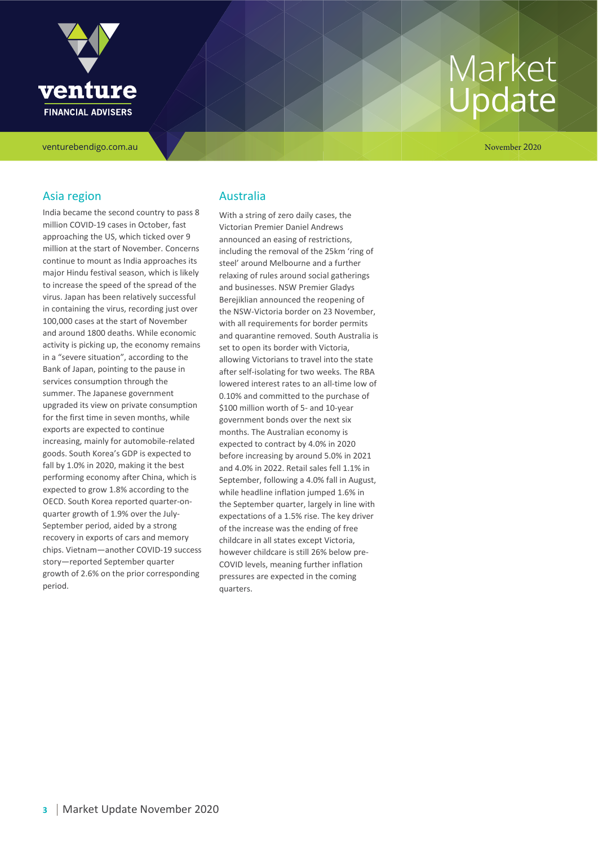

venturebendigo.com.au November 2020

#### Asia region

India became the second country to pass 8 million COVID-19 cases in October, fast approaching the US, which ticked over 9 million at the start of November. Concerns continue to mount as India approaches its major Hindu festival season, which is likely to increase the speed of the spread of the virus. Japan has been relatively successful in containing the virus, recording just over 100,000 cases at the start of November and around 1800 deaths. While economic activity is picking up, the economy remains in a "severe situation", according to the Bank of Japan, pointing to the pause in services consumption through the summer. The Japanese government upgraded its view on private consumption for the first time in seven months, while exports are expected to continue increasing, mainly for automobile-related goods. South Korea's GDP is expected to fall by 1.0% in 2020, making it the best performing economy after China, which is expected to grow 1.8% according to the OECD. South Korea reported quarter-onquarter growth of 1.9% over the July-September period, aided by a strong recovery in exports of cars and memory chips. Vietnam—another COVID-19 success story—reported September quarter growth of 2.6% on the prior corresponding period.

#### Australia

With a string of zero daily cases, the Victorian Premier Daniel Andrews announced an easing of restrictions, including the removal of the 25km 'ring of steel' around Melbourne and a further relaxing of rules around social gatherings and businesses. NSW Premier Gladys Berejiklian announced the reopening of the NSW-Victoria border on 23 November, with all requirements for border permits and quarantine removed. South Australia is set to open its border with Victoria, allowing Victorians to travel into the state after self-isolating for two weeks. The RBA lowered interest rates to an all-time low of 0.10% and committed to the purchase of \$100 million worth of 5- and 10-year government bonds over the next six months. The Australian economy is expected to contract by 4.0% in 2020 before increasing by around 5.0% in 2021 and 4.0% in 2022. Retail sales fell 1.1% in September, following a 4.0% fall in August, while headline inflation jumped 1.6% in the September quarter, largely in line with expectations of a 1.5% rise. The key driver of the increase was the ending of free childcare in all states except Victoria, however childcare is still 26% below pre-COVID levels, meaning further inflation pressures are expected in the coming quarters.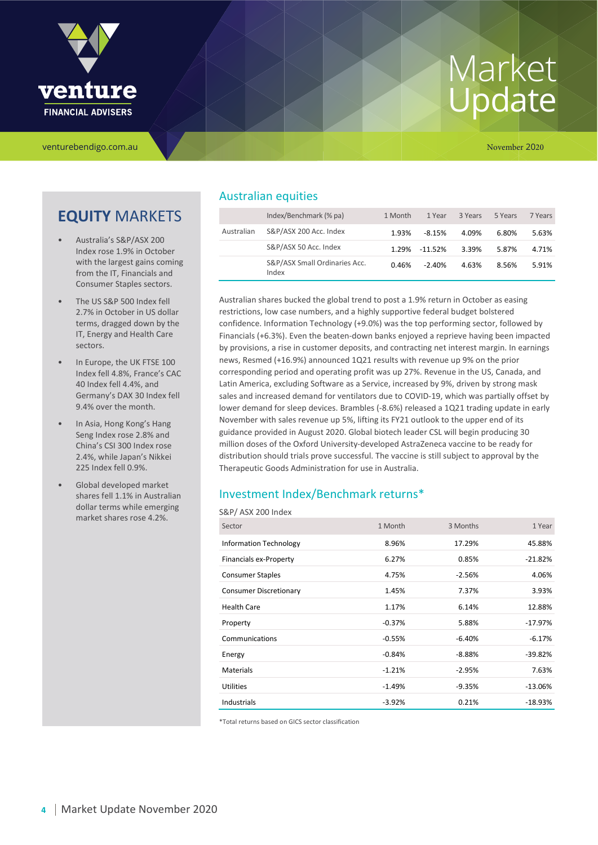

venturebendigo.com.au November 2020

## **EQUITY** MARKETS

- Australia's S&P/ASX 200 Index rose 1.9% in October with the largest gains coming from the IT, Financials and Consumer Staples sectors.
- The US S&P 500 Index fell 2.7% in October in US dollar terms, dragged down by the IT, Energy and Health Care sectors.
- In Europe, the UK FTSE 100 Index fell 4.8%, France's CAC 40 Index fell 4.4%, and Germany's DAX 30 Index fell 9.4% over the month.
- In Asia, Hong Kong's Hang Seng Index rose 2.8% and China's CSI 300 Index rose 2.4%, while Japan's Nikkei 225 Index fell 0.9%.
- Global developed market shares fell 1.1% in Australian dollar terms while emerging market shares rose 4.2%.

### Australian equities

|            | Index/Benchmark (% pa)                 | 1 Month | 1 Year    | 3 Years | 5 Years | 7 Years |
|------------|----------------------------------------|---------|-----------|---------|---------|---------|
| Australian | S&P/ASX 200 Acc. Index                 | 1.93%   | $-8.15%$  | 4.09%   | 6.80%   | 5.63%   |
|            | S&P/ASX 50 Acc. Index                  | 1.29%   | $-11.52%$ | 3.39%   | 5.87%   | 4.71%   |
|            | S&P/ASX Small Ordinaries Acc.<br>Index | 0.46%   | $-2.40%$  | 4.63%   | 8.56%   | 5.91%   |

Australian shares bucked the global trend to post a 1.9% return in October as easing restrictions, low case numbers, and a highly supportive federal budget bolstered confidence. Information Technology (+9.0%) was the top performing sector, followed by Financials (+6.3%). Even the beaten-down banks enjoyed a reprieve having been impacted by provisions, a rise in customer deposits, and contracting net interest margin. In earnings news, Resmed (+16.9%) announced 1Q21 results with revenue up 9% on the prior corresponding period and operating profit was up 27%. Revenue in the US, Canada, and Latin America, excluding Software as a Service, increased by 9%, driven by strong mask sales and increased demand for ventilators due to COVID-19, which was partially offset by lower demand for sleep devices. Brambles (-8.6%) released a 1Q21 trading update in early November with sales revenue up 5%, lifting its FY21 outlook to the upper end of its guidance provided in August 2020. Global biotech leader CSL will begin producing 30 million doses of the Oxford University-developed AstraZeneca vaccine to be ready for distribution should trials prove successful. The vaccine is still subject to approval by the Therapeutic Goods Administration for use in Australia.

#### Investment Index/Benchmark returns\*

#### S&P/ ASX 200 Index

| Sector                        | 1 Month  | 3 Months | 1 Year    |
|-------------------------------|----------|----------|-----------|
| <b>Information Technology</b> | 8.96%    | 17.29%   | 45.88%    |
| Financials ex-Property        | 6.27%    | 0.85%    | $-21.82%$ |
| <b>Consumer Staples</b>       | 4.75%    | $-2.56%$ | 4.06%     |
| <b>Consumer Discretionary</b> | 1.45%    | 7.37%    | 3.93%     |
| <b>Health Care</b>            | 1.17%    | 6.14%    | 12.88%    |
| Property                      | $-0.37%$ | 5.88%    | $-17.97%$ |
| Communications                | $-0.55%$ | $-6.40%$ | $-6.17%$  |
| Energy                        | $-0.84%$ | $-8.88%$ | $-39.82%$ |
| <b>Materials</b>              | $-1.21%$ | $-2.95%$ | 7.63%     |
| Utilities                     | $-1.49%$ | $-9.35%$ | $-13.06%$ |
| Industrials                   | $-3.92%$ | 0.21%    | $-18.93%$ |

\*Total returns based on GICS sector classification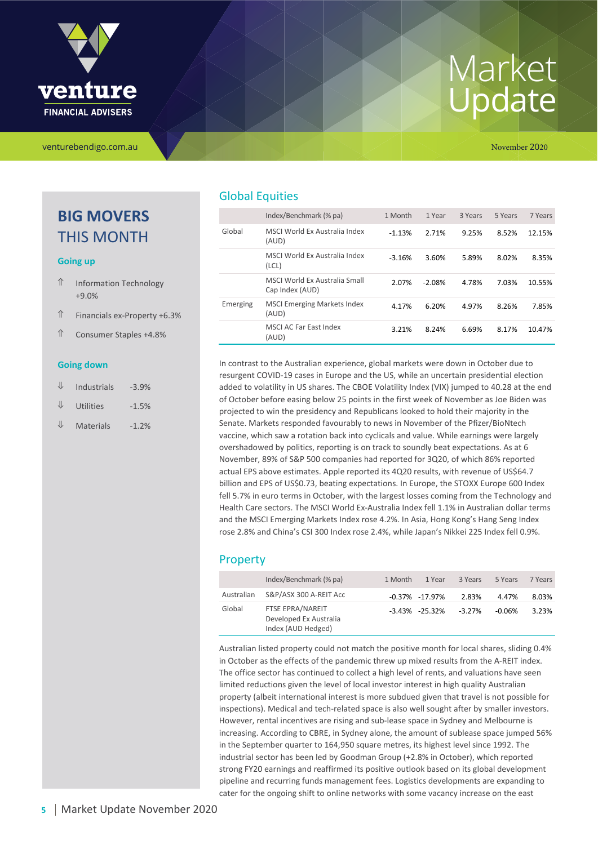

### **BIG MOVERS** THIS MONTH

#### **Going up**

- ⇑ Information Technology +9.0%
- ⇑ Financials ex-Property +6.3%
- ⇑ Consumer Staples +4.8%

#### **Going down**

- $\Psi$  Industrials -3.9%  $\Psi$  Utilities -1.5%
- $\Psi$  Materials -1.2%

### Global Equities

|          | Index/Benchmark (% pa)                           | 1 Month  | 1 Year   | 3 Years | 5 Years | 7 Years |
|----------|--------------------------------------------------|----------|----------|---------|---------|---------|
| Global   | MSCI World Ex Australia Index<br>(AUD)           | $-1.13%$ | 2.71%    | 9.25%   | 8.52%   | 12.15%  |
|          | MSCLWorld Ex Australia Index<br>(CL)             | $-3.16%$ | 3.60%    | 5.89%   | 8.02%   | 8.35%   |
|          | MSCI World Ex Australia Small<br>Cap Index (AUD) | 2.07%    | $-2.08%$ | 4.78%   | 7.03%   | 10.55%  |
| Emerging | <b>MSCI Emerging Markets Index</b><br>(AUD)      | 4.17%    | 6.20%    | 4.97%   | 8.26%   | 7.85%   |
|          | MSCLAC Far East Index<br>(AUD)                   | 3.21%    | 8.24%    | 6.69%   | 8.17%   | 10.47%  |

In contrast to the Australian experience, global markets were down in October due to resurgent COVID-19 cases in Europe and the US, while an uncertain presidential election added to volatility in US shares. The CBOE Volatility Index (VIX) jumped to 40.28 at the end of October before easing below 25 points in the first week of November as Joe Biden was projected to win the presidency and Republicans looked to hold their majority in the Senate. Markets responded favourably to news in November of the Pfizer/BioNtech vaccine, which saw a rotation back into cyclicals and value. While earnings were largely overshadowed by politics, reporting is on track to soundly beat expectations. As at 6 November, 89% of S&P 500 companies had reported for 3Q20, of which 86% reported actual EPS above estimates. Apple reported its 4Q20 results, with revenue of US\$64.7 billion and EPS of US\$0.73, beating expectations. In Europe, the STOXX Europe 600 Index fell 5.7% in euro terms in October, with the largest losses coming from the Technology and Health Care sectors. The MSCI World Ex-Australia Index fell 1.1% in Australian dollar terms and the MSCI Emerging Markets Index rose 4.2%. In Asia, Hong Kong's Hang Seng Index rose 2.8% and China's CSI 300 Index rose 2.4%, while Japan's Nikkei 225 Index fell 0.9%.

#### Property

|            | Index/Benchmark (% pa)                                           | 1 Month | 1 Year               | 3 Years  | 5 Years  | 7 Years |
|------------|------------------------------------------------------------------|---------|----------------------|----------|----------|---------|
| Australian | S&P/ASX 300 A-REIT Acc                                           |         | $-0.37\%$ $-17.97\%$ | 2.83%    | 4.47%    | 8.03%   |
| Global     | FTSE EPRA/NAREIT<br>Developed Ex Australia<br>Index (AUD Hedged) |         | $-3.43\% -25.32\%$   | $-3.27%$ | $-0.06%$ | 3.23%   |

Australian listed property could not match the positive month for local shares, sliding 0.4% in October as the effects of the pandemic threw up mixed results from the A-REIT index. The office sector has continued to collect a high level of rents, and valuations have seen limited reductions given the level of local investor interest in high quality Australian property (albeit international interest is more subdued given that travel is not possible for inspections). Medical and tech-related space is also well sought after by smaller investors. However, rental incentives are rising and sub-lease space in Sydney and Melbourne is increasing. According to CBRE, in Sydney alone, the amount of sublease space jumped 56% in the September quarter to 164,950 square metres, its highest level since 1992. The industrial sector has been led by Goodman Group (+2.8% in October), which reported strong FY20 earnings and reaffirmed its positive outlook based on its global development pipeline and recurring funds management fees. Logistics developments are expanding to cater for the ongoing shift to online networks with some vacancy increase on the east